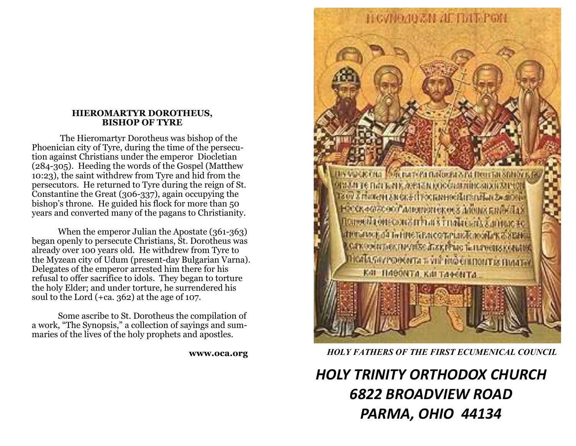#### **HIEROMARTYR DOROTHEUS, BISHOP OF TYRE**

 The Hieromartyr Dorotheus was bishop of the Phoenician city of Tyre, during the time of the persecution against Christians under the emperor Diocletian (284-305). Heeding the words of the Gospel (Matthew 10:23), the saint withdrew from Tyre and hid from the persecutors. He returned to Tyre during the reign of St. Constantine the Great (306-337), again occupying the bishop's throne. He guided his flock for more than 50 years and converted many of the pagans to Christianity.

 When the emperor Julian the Apostate (361-363) began openly to persecute Christians, St. Dorotheus was already over 100 years old. He withdrew from Tyre to the Myzean city of Udum (present-day Bulgarian Varna). Delegates of the emperor arrested him there for his refusal to offer sacrifice to idols. They began to torture the holy Elder; and under torture, he surrendered his soul to the Lord (+ca. 362) at the age of 107.

 Some ascribe to St. Dorotheus the compilation of a work, "The Synopsis," a collection of sayings and summaries of the lives of the holy prophets and apostles.

**www.oca.org** 



### *HOLY FATHERS OF THE FIRST ECUMENICAL COUNCIL*

# *HOLY TRINITY ORTHODOX CHURCH 6822 BROADVIEW ROAD PARMA, OHIO 44134*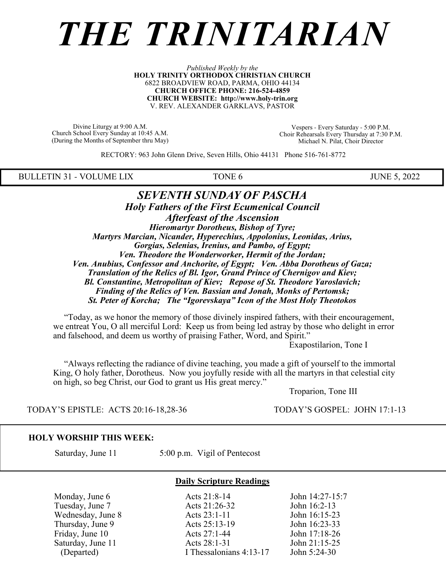# *THE TRINITARIAN*

*Published Weekly by the* **HOLY TRINITY ORTHODOX CHRISTIAN CHURCH** 6822 BROADVIEW ROAD, PARMA, OHIO 44134 **CHURCH OFFICE PHONE: 216-524-4859 CHURCH WEBSITE: http://www.holy-trin.org** V. REV. ALEXANDER GARKLAVS, PASTOR

Divine Liturgy at 9:00 A.M. Church School Every Sunday at 10:45 A.M. (During the Months of September thru May)

Vespers - Every Saturday - 5:00 P.M. Choir Rehearsals Every Thursday at 7:30 P.M. Michael N. Pilat, Choir Director

RECTORY: 963 John Glenn Drive, Seven Hills, Ohio 44131 Phone 516-761-8772

BULLETIN 31 - VOLUME LIX TONE 6 JUNE 5, 2022

#### *SEVENTH SUNDAY OF PASCHA Holy Fathers of the First Ecumenical Council Afterfeast of the Ascension Hieromartyr Dorotheus, Bishop of Tyre; Martyrs Marcian, Nicander, Hyperechius, Appolonius, Leonidas, Arius, Gorgias, Selenias, Irenius, and Pambo, of Egypt; Ven. Theodore the Wonderworker, Hermit of the Jordan; Ven. Anubius, Confessor and Anchorite, of Egypt; Ven. Abba Dorotheus of Gaza; Translation of the Relics of Bl. Igor, Grand Prince of Chernigov and Kiev; Bl. Constantine, Metropolitan of Kiev; Repose of St. Theodore Yaroslavich; Finding of the Relics of Ven. Bassian and Jonah, Monks of Pertomsk; St. Peter of Korcha; The "Igorevskaya" Icon of the Most Holy Theotokos*

 "Today, as we honor the memory of those divinely inspired fathers, with their encouragement, we entreat You, O all merciful Lord: Keep us from being led astray by those who delight in error and falsehood, and deem us worthy of praising Father, Word, and Spirit."

Exapostilarion, Tone I

 "Always reflecting the radiance of divine teaching, you made a gift of yourself to the immortal King, O holy father, Dorotheus. Now you joyfully reside with all the martyrs in that celestial city on high, so beg Christ, our God to grant us His great mercy."

Troparion, Tone III

TODAY'S EPISTLE: ACTS 20:16-18,28-36 TODAY'S GOSPEL: JOHN 17:1-13

#### **HOLY WORSHIP THIS WEEK:**

Saturday, June 11 5:00 p.m. Vigil of Pentecost

**Daily Scripture Readings**

 Monday, June 6 Acts 21:8-14 John 14:27-15:7 Tuesday, June 7 **Acts 21:26-32** John 16:2-13 Wednesday, June 8 **Acts 23:1-11** John 16:15-23 Thursday, June 9 <br>
Thursday, June 10 <br>
Acts 25:13-19 <br>
Acts 27:1-44 <br>
John 17:18-26 Friday, June 10 <br>
Saturday, June 11 <br>
Acts 27:1-44 <br>
Acts 28:1-31 <br>
John 21:15-25 Saturday, June 11 <br>
(Departed) 1 Acts 28:1-31 <br>
I Thessalonians 4:13-17 <br>
John 5:24-30 I Thessalonians  $4:13-17$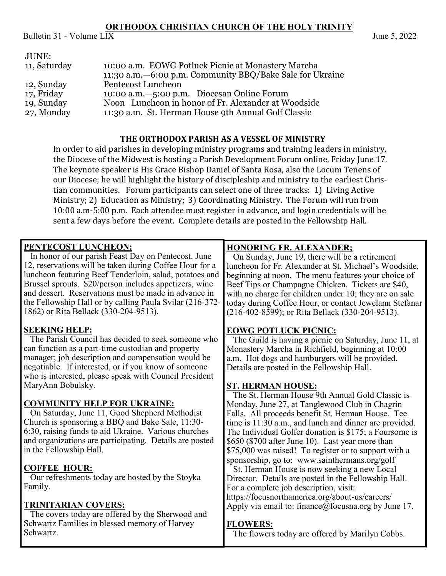# **ORTHODOX CHRISTIAN CHURCH OF THE HOLY TRINITY**

Bulletin 31 - Volume  $L\overline{IX}$  June 5, 2022

| JUNE:        | 10:00 a.m. EOWG Potluck Picnic at Monastery Marcha        |
|--------------|-----------------------------------------------------------|
| 11, Saturday | 11:30 a.m. -6:00 p.m. Community BBQ/Bake Sale for Ukraine |
| 12, Sunday   | Pentecost Luncheon                                        |
| 17, Friday   | 10:00 a.m. -5:00 p.m. Diocesan Online Forum               |
| 19, Sunday   | Noon Luncheon in honor of Fr. Alexander at Woodside       |
| 27, Monday   | 11:30 a.m. St. Herman House 9th Annual Golf Classic       |

# **THE ORTHODOX PARISH AS A VESSEL OF MINISTRY**

In order to aid parishes in developing ministry programs and training leaders in ministry, the Diocese of the Midwest is hosting a Parish Development Forum online, Friday June 17. The keynote speaker is His Grace Bishop Daniel of Santa Rosa, also the Locum Tenens of our Diocese; he will highlight the history of discipleship and ministry to the earliest Christian communities. Forum participants can select one of three tracks: 1) Living Active Ministry; 2) Education as Ministry; 3) Coordinating Ministry. The Forum will run from 10:00 a.m-5:00 p.m. Each attendee must register in advance, and login credentials will be sent a few days before the event. Complete details are posted in the Fellowship Hall.

| PENTECOST LUNCHEON:<br>In honor of our parish Feast Day on Pentecost. June<br>12, reservations will be taken during Coffee Hour for a<br>luncheon featuring Beef Tenderloin, salad, potatoes and<br>Brussel sprouts. \$20/person includes appetizers, wine<br>and dessert. Reservations must be made in advance in<br>the Fellowship Hall or by calling Paula Svilar (216-372- | <b>HONORING FR. ALEXANDER;</b><br>On Sunday, June 19, there will be a retirement<br>luncheon for Fr. Alexander at St. Michael's Woodside,<br>beginning at noon. The menu features your choice of<br>Beef Tips or Champagne Chicken. Tickets are \$40,<br>with no charge for children under 10; they are on sale<br>today during Coffee Hour, or contact Jewelann Stefanar                                                                |
|--------------------------------------------------------------------------------------------------------------------------------------------------------------------------------------------------------------------------------------------------------------------------------------------------------------------------------------------------------------------------------|------------------------------------------------------------------------------------------------------------------------------------------------------------------------------------------------------------------------------------------------------------------------------------------------------------------------------------------------------------------------------------------------------------------------------------------|
| 1862) or Rita Bellack (330-204-9513).                                                                                                                                                                                                                                                                                                                                          | (216-402-8599); or Rita Bellack (330-204-9513).                                                                                                                                                                                                                                                                                                                                                                                          |
| <b>SEEKING HELP:</b><br>The Parish Council has decided to seek someone who<br>can function as a part-time custodian and property<br>manager; job description and compensation would be<br>negotiable. If interested, or if you know of someone<br>who is interested, please speak with Council President                                                                       | <b>EOWG POTLUCK PICNIC:</b><br>The Guild is having a picnic on Saturday, June 11, at<br>Monastery Marcha in Richfield, beginning at 10:00<br>a.m. Hot dogs and hamburgers will be provided.<br>Details are posted in the Fellowship Hall.                                                                                                                                                                                                |
| MaryAnn Bobulsky.                                                                                                                                                                                                                                                                                                                                                              | <b>ST. HERMAN HOUSE:</b>                                                                                                                                                                                                                                                                                                                                                                                                                 |
| <b>COMMUNITY HELP FOR UKRAINE:</b><br>On Saturday, June 11, Good Shepherd Methodist<br>Church is sponsoring a BBQ and Bake Sale, 11:30-<br>6:30, raising funds to aid Ukraine. Various churches<br>and organizations are participating. Details are posted<br>in the Fellowship Hall.                                                                                          | The St. Herman House 9th Annual Gold Classic is<br>Monday, June 27, at Tanglewood Club in Chagrin<br>Falls. All proceeds benefit St. Herman House. Tee<br>time is 11:30 a.m., and lunch and dinner are provided.<br>The Individual Golfer donation is \$175; a Foursome is<br>\$650 (\$700 after June 10). Last year more than<br>\$75,000 was raised! To register or to support with a<br>sponsorship, go to: www.sainthermans.org/golf |
| <b>COFFEE HOUR:</b><br>Our refreshments today are hosted by the Stoyka<br>Family.                                                                                                                                                                                                                                                                                              | St. Herman House is now seeking a new Local<br>Director. Details are posted in the Fellowship Hall.<br>For a complete job description, visit:                                                                                                                                                                                                                                                                                            |
| <b>TRINITARIAN COVERS:</b><br>The covers today are offered by the Sherwood and<br>Schwartz Families in blessed memory of Harvey<br>Schwartz.                                                                                                                                                                                                                                   | https://focusnorthamerica.org/about-us/careers/<br>Apply via email to: finance@focusna.org by June 17.<br><b>FLOWERS:</b><br>The flowers today are offered by Marilyn Cobbs.                                                                                                                                                                                                                                                             |
|                                                                                                                                                                                                                                                                                                                                                                                |                                                                                                                                                                                                                                                                                                                                                                                                                                          |